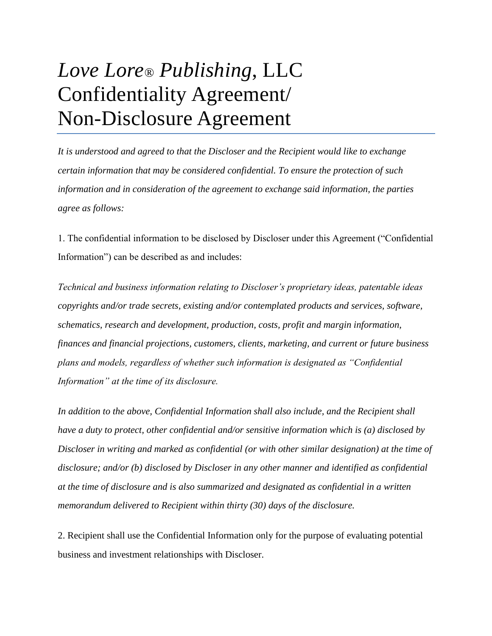## *Love Lore® Publishing*, LLC Confidentiality Agreement/ Non-Disclosure Agreement

*It is understood and agreed to that the Discloser and the Recipient would like to exchange certain information that may be considered confidential. To ensure the protection of such information and in consideration of the agreement to exchange said information, the parties agree as follows:*

1. The confidential information to be disclosed by Discloser under this Agreement ("Confidential Information") can be described as and includes:

*Technical and business information relating to Discloser's proprietary ideas, patentable ideas copyrights and/or trade secrets, existing and/or contemplated products and services, software, schematics, research and development, production, costs, profit and margin information, finances and financial projections, customers, clients, marketing, and current or future business plans and models, regardless of whether such information is designated as "Confidential Information" at the time of its disclosure.*

*In addition to the above, Confidential Information shall also include, and the Recipient shall have a duty to protect, other confidential and/or sensitive information which is (a) disclosed by Discloser in writing and marked as confidential (or with other similar designation) at the time of disclosure; and/or (b) disclosed by Discloser in any other manner and identified as confidential at the time of disclosure and is also summarized and designated as confidential in a written memorandum delivered to Recipient within thirty (30) days of the disclosure.*

2. Recipient shall use the Confidential Information only for the purpose of evaluating potential business and investment relationships with Discloser.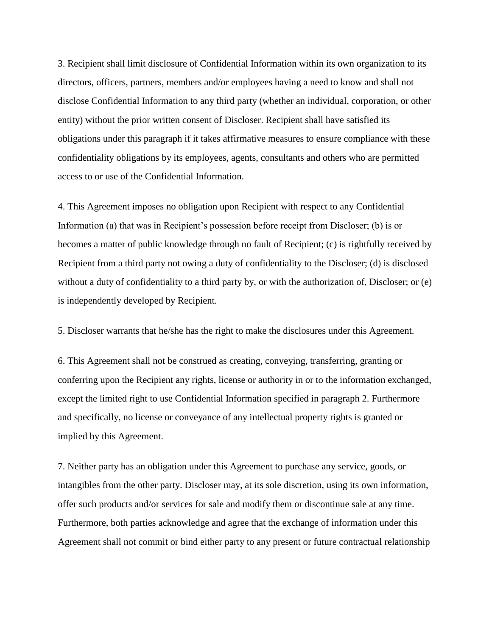3. Recipient shall limit disclosure of Confidential Information within its own organization to its directors, officers, partners, members and/or employees having a need to know and shall not disclose Confidential Information to any third party (whether an individual, corporation, or other entity) without the prior written consent of Discloser. Recipient shall have satisfied its obligations under this paragraph if it takes affirmative measures to ensure compliance with these confidentiality obligations by its employees, agents, consultants and others who are permitted access to or use of the Confidential Information.

4. This Agreement imposes no obligation upon Recipient with respect to any Confidential Information (a) that was in Recipient's possession before receipt from Discloser; (b) is or becomes a matter of public knowledge through no fault of Recipient; (c) is rightfully received by Recipient from a third party not owing a duty of confidentiality to the Discloser; (d) is disclosed without a duty of confidentiality to a third party by, or with the authorization of, Discloser; or (e) is independently developed by Recipient.

5. Discloser warrants that he/she has the right to make the disclosures under this Agreement.

6. This Agreement shall not be construed as creating, conveying, transferring, granting or conferring upon the Recipient any rights, license or authority in or to the information exchanged, except the limited right to use Confidential Information specified in paragraph 2. Furthermore and specifically, no license or conveyance of any intellectual property rights is granted or implied by this Agreement.

7. Neither party has an obligation under this Agreement to purchase any service, goods, or intangibles from the other party. Discloser may, at its sole discretion, using its own information, offer such products and/or services for sale and modify them or discontinue sale at any time. Furthermore, both parties acknowledge and agree that the exchange of information under this Agreement shall not commit or bind either party to any present or future contractual relationship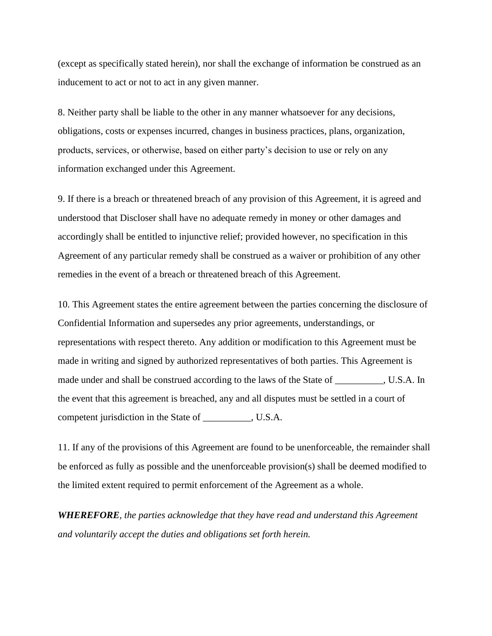(except as specifically stated herein), nor shall the exchange of information be construed as an inducement to act or not to act in any given manner.

8. Neither party shall be liable to the other in any manner whatsoever for any decisions, obligations, costs or expenses incurred, changes in business practices, plans, organization, products, services, or otherwise, based on either party's decision to use or rely on any information exchanged under this Agreement.

9. If there is a breach or threatened breach of any provision of this Agreement, it is agreed and understood that Discloser shall have no adequate remedy in money or other damages and accordingly shall be entitled to injunctive relief; provided however, no specification in this Agreement of any particular remedy shall be construed as a waiver or prohibition of any other remedies in the event of a breach or threatened breach of this Agreement.

10. This Agreement states the entire agreement between the parties concerning the disclosure of Confidential Information and supersedes any prior agreements, understandings, or representations with respect thereto. Any addition or modification to this Agreement must be made in writing and signed by authorized representatives of both parties. This Agreement is made under and shall be construed according to the laws of the State of \_\_\_\_\_\_\_\_\_\_, U.S.A. In the event that this agreement is breached, any and all disputes must be settled in a court of competent jurisdiction in the State of \_\_\_\_\_\_\_\_\_\_, U.S.A.

11. If any of the provisions of this Agreement are found to be unenforceable, the remainder shall be enforced as fully as possible and the unenforceable provision(s) shall be deemed modified to the limited extent required to permit enforcement of the Agreement as a whole.

*WHEREFORE, the parties acknowledge that they have read and understand this Agreement and voluntarily accept the duties and obligations set forth herein.*